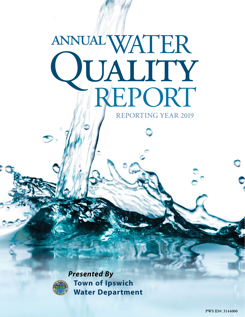# WATER TEALITY annual REPORTING YEAR 2019



*Presented By* **Town of Ipswich Water Department**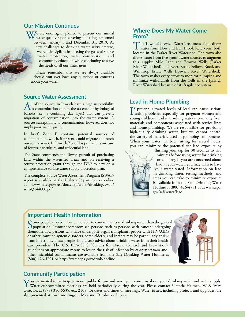## **Our Mission Continues**

 $V$ / $\epsilon$  are once again pleased to present our annual water quality report covering all testing performed between January 1 and December 31, 2019. As new challenges to drinking water safety emerge, we remain vigilant in meeting the goals of source water protection, water conservation, and community education while continuing to serve the needs of all our water users.

Please remember that we are always available should you ever have any questions or concerns about your water.

#### **Source Water Assessment**

All of the sources in Ipswich have a high susceptibility<br>to contamination due to the absence of hydrological<br>having (i.e., properties also have) that barriers (i.e., a confining clay layer) that can prevent migration of contamination into the water system. A source's susceptibility to contamination, however, does not imply poor water quality.

In brief, Zone II contains potential sources of contamination, which, if present, could migrate and reach our source water. In Ipswich,Zone II is primarily a mixture of forests, agriculture, and residential land.

The State commends the Town's pursuit of purchasing land within the watershed areas, and on receiving a source protection grant through the DEP to develop a comprehensive surface water supply protection plan.

The complete Source Water Assessment Program (SWAP) report is available at the Utilities Department or online at [www.mass.gov/eea/docs/dep/water/drinking/swap/](http://www.mass.gov/eea/docs/dep/water/drinking/swap/nero/3144000.pdf) [nero/3144000.pdf.](http://www.mass.gov/eea/docs/dep/water/drinking/swap/nero/3144000.pdf)

#### **Where Does My Water Come From?**

The Town of Ipswich Water Treatment Plant draws water from Dow and Bull Brook Reservoirs, both located in the Parker River Watershed. The town also draws water from five groundwater sources to augment this supply: Mile Lane and Browns Wells (Parker River Watershed) and Essex Road, Fellows Road, and Winthrop Estate Wells (Ipswich River Watershed). The town makes every effort to monitor pumping and minimize withdrawals from the wells in the Ipswich River Watershed because of its fragile ecosystem.

#### **Lead in Home Plumbing**

If present, elevated levels of lead can cause serious<br>health problems, especially for pregnant women and<br>www.a-kildrea Load in drinking wyser is primarily from **T**f present, elevated levels of lead can cause serious young children. Lead in drinking water is primarily from materials and components associated with service lines and home plumbing. We are responsible for providing high-quality drinking water, but we cannot control the variety of materials used in plumbing components. When your water has been sitting for several hours, you can minimize the potential for lead exposure by



flushing your tap for 30 seconds to two minutes before using water for drinking or cooking. If you are concerned about lead in your water, you may wish to have your water tested. Information on lead in drinking water, testing methods, and steps you can take to minimize exposure is available from the Safe Drinking Water Hotline at (800) 426-4791 or at [www.epa.](http://www.epa.gov/safewater/lead) [gov/safewater/lead](http://www.epa.gov/safewater/lead).

## **Important Health Information**

Some people may be more vulnerable to contaminants in drinking water than the general<br>population. Immunocompromised persons such as persons with cancer undergoing<br>characteristics are also undergoing the magnetic asset of H chemotherapy, persons who have undergone organ transplants, people with HIV/AIDS or other immune system disorders, some elderly, and infants may be particularly at risk from infections. These people should seek advice about drinking water from their health care providers. The U.S. EPA/CDC (Centers for Disease Control and Prevention) guidelines on appropriate means to lessen the risk of infection by *cryptosporidium* and other microbial contaminants are available from the Safe Drinking Water Hotline at (800) 426-4791 or<http://water.epa.gov/drink/hotline>.



#### **Community Participation**

You are invited to participate in our public forum and voice your concerns about your drinking water and water supply.<br>Water Subcommittee meetings are held periodically during the year. Please contact Victoria Halmen, W & Director, at (978) 356-6635, ext. 2108, for dates and times of meetings. Water issues, including projects and upgrades, are also presented at town meetings in May and October each year.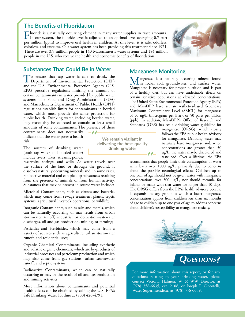#### **The Benefits of Fluoridation**

Fluoride is a naturally occurring element in many water supplies in trace amounts.<br>In our system, the fluoride level is adjusted to an optimal level averaging 0.7 part per million (ppm) to improve oral health in children. At this level, it is safe, odorless, colorless, and tasteless. Our water system has been providing this treatment since 1971. There are over 3.9 million people in 140 Massachusetts water systems and 184 million people in the U.S. who receive the health and economic benefits of fluoridation.

 $-11$ 



#### **Substances That Could Be in Water**

To ensure that tap water is safe to drink, the Department of Environmental Protection (DEP) and the U.S. Environmental Protection Agency (U.S. EPA) prescribe regulations limiting the amount of certain contaminants in water provided by public water systems. The Food and Drug Administration (FDA) and Massachusetts Department of Public Health (DPH) regulations establish limits for contaminants in bottled water, which must provide the same protection for public health. Drinking water, including bottled water, may reasonably be expected to contain at least small amounts of some contaminants. The presence of these

contaminants does not necessarily indicate that the water poses a health risk.

The sources of drinking water (both tap water and bottled water) include rivers, lakes, streams, ponds,

reservoirs, springs, and wells. As water travels over the surface of the land or through the ground, it dissolves naturally occurring minerals and, in some cases, radioactive material and can pick up substances resulting from the presence of animals or from human activity. Substances that may be present in source water include:

Microbial Contaminants, such as viruses and bacteria, which may come from sewage treatment plants, septic systems, agricultural livestock operations, or wildlife;

Inorganic Contaminants, such as salts and metals, which can be naturally occurring or may result from urban stormwater runoff, industrial or domestic wastewater discharges, oil and gas production, mining, or farming;

Pesticides and Herbicides, which may come from a variety of sources such as agriculture, urban stormwater runoff, and residential uses;

Organic Chemical Contaminants, including synthetic and volatile organic chemicals, which are by-products of industrial processes and petroleum production and which may also come from gas stations, urban stormwater runoff, and septic systems;

Radioactive Contaminants, which can be naturally occurring or may be the result of oil and gas production and mining activities.

More information about contaminants and potential health effects can be obtained by calling the U.S. EPA's Safe Drinking Water Hotline at (800) 426-4791.

Lin rocks, soil, groundwater, and surface water.

**Manganese Monitoring**

Manganese is necessary for proper nutrition and is part of a healthy diet, but can have undesirable effects on certain sensitive populations at elevated concentrations. The United States Environmental Protection Agency (EPA) and MassDEP have set an aesthetics-based Secondary Maximum Contaminant Level (SMCL) for manganese of 50 ug/L (microgram per liter), or 50 parts per billion (ppb). In addition, MassDEP's Office of Research and Standards (ORS) has set a drinking water guideline for

Manganese is a naturally occurring mineral found

manganese (ORSG), which closely follows the EPA public health advisory for manganese. Drinking water may naturally have manganese and, when concentrations are greater than 50 ug/L, the water maybe discolored and taste bad. Over a lifetime, the EPA

recommends that people limit their consumption of water with levels over 1000 ug/L, primarily due to concerns about the possible neurological effects. Children up to one year of age should not be given water with manganese concentrations over 300 ug/L, nor should formula for infants be made with that water for longer than 10 days. The ORSG differs from the EPA's health advisory because it expands the age group to which a lower manganese concentration applies from children less than six months of age to children up to one year of age to address concerns about children's susceptibility to manganese toxicity.





For more information about this report, or for any questions relating to your drinking water, please contact Victoria Halmen, W & WW Director, at (978) 356-6635, ext. 2108, or Joseph F. Ciccotelli, Water Superintendent, at (978) 356-6639.

**We remain vigilant in delivering the best-quality drinking water**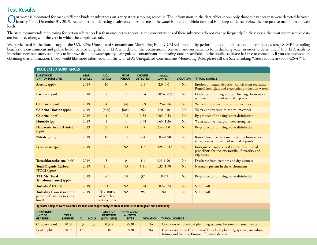## **Test Results**

Uur water is monitored for many different kinds of substances on a very strict sampling schedule. The information in the data tables shows only those substances that were detected between January 1 and December 31, 2019. R levels.

The state recommends monitoring for certain substances less than once per year because the concentrations of these substances do not change frequently. In these cases, the most recent sample data are included, along with the year in which the sample was taken.

We participated in the fourth stage of the U.S. EPA's Unregulated Contaminant Monitoring Rule (UCMR4) program by performing additional tests on our drinking water. UCMR4 sampling benefits the environment and public health by providing the U.S. EPA with data on the occurrence of contaminants suspected to be in drinking water in order to determine if U.S. EPA needs to introduce new regulatory standards to improve drinking water quality. Unregulated contaminant monitoring data are available to the public, so please feel free to contact us if you are interested in obtaining that information. If you would like more information on the U.S. EPA's Unregulated Contaminant Monitoring Rule, please call the Safe Drinking Water Hotline at (800) 426-4791.

| <b>REGULATED SUBSTANCES</b>                                       |                               |                                              |                        |                                  |                          |                  |                                                                                                                   |  |
|-------------------------------------------------------------------|-------------------------------|----------------------------------------------|------------------------|----------------------------------|--------------------------|------------------|-------------------------------------------------------------------------------------------------------------------|--|
| <b>SUBSTANCE</b><br>(UNIT OF MEASURE)                             | <b>YEAR</b><br><b>SAMPLED</b> | <b>MCL</b><br>[MRDL]                         | <b>MCLG</b><br>[MRDLG] | <b>AMOUNT</b><br><b>DETECTED</b> | <b>RANGE</b><br>LOW-HIGH | <b>VIOLATION</b> | <b>TYPICAL SOURCE</b>                                                                                             |  |
| <b>Arsenic</b> (ppb)                                              | 2015                          | 10                                           | $\mathbf{0}$           | 2.5                              | $2.0 - 3.0$              | No               | Erosion of natural deposits; Runoff from orchards;<br>Runoff from glass and electronics production wastes         |  |
| Barium (ppm)                                                      | 2018                          | $\overline{2}$                               | $\overline{2}$         | 0.04                             | $0.007 - 0.075$          | No               | Discharge of drilling wastes; Discharge from metal<br>refineries; Erosion of natural deposits                     |  |
| Chlorine (ppm)                                                    | 2019                          | $[4]$                                        | $[4]$                  | 0.69                             | $0.25 - 0.86$            | No               | Water additive used to control microbes                                                                           |  |
| <b>Chlorine Dioxide (ppb)</b>                                     | 2019                          | $[800]$                                      | $[800]$                | 260                              | $170 - 410$              | N <sub>o</sub>   | Water additive used to control microbes                                                                           |  |
| Chlorite (ppm)                                                    | 2019                          |                                              | 0.8                    | 0.32                             | $0.05 - 0.53$            | N <sub>o</sub>   | By-product of drinking water disinfection                                                                         |  |
| Fluoride (ppm)                                                    | 2019                          | $\overline{4}$                               | $\overline{4}$         | 0.98                             | $0.65 - 1.36$            | N <sub>o</sub>   | Water additive that promotes strong teeth                                                                         |  |
| Haloacetic Acids [HAAs]<br>(ppb)                                  | 2019                          | 60                                           | <b>NA</b>              | 8.8                              | $3.4 - 22.0$             | N <sub>o</sub>   | By-product of drinking water disinfection                                                                         |  |
| Nitrate (ppm)                                                     | 2019                          | 10                                           | 10                     | 2.4                              | $0.03 - 4.90$            | N <sub>o</sub>   | Runoff from fertilizer use; Leaching from septic<br>tanks, sewage; Erosion of natural deposits                    |  |
| Perchlorate (ppb)                                                 | 2019                          | $\overline{2}$                               | NA                     | 1.2                              | $0.09 - 0.242$           | No               | Inorganic chemicals used as oxidizers in solid<br>propellants for rockets, missiles, fireworks, and<br>explosives |  |
| Tetrachloroethylene (ppb)                                         | 2019                          | 5                                            | $\mathbf{0}$           | 1.1                              | $0.5 - 1.90$             | No               | Discharge from factories and dry cleaners                                                                         |  |
| <b>Total Organic Carbon</b><br>$[TOC]$ (ppm)                      | 2019                          | TT <sup>1</sup>                              | <b>NA</b>              | 1.11                             | $0.32 - 1.90$            | N <sub>o</sub>   | Naturally present in the environment                                                                              |  |
| <b>TTHMs</b> [Total]<br>Trihalomethanes] (ppb)                    | 2019                          | 80                                           | <b>NA</b>              | 37                               | $18 - 61$                | N <sub>o</sub>   | By-product of drinking water disinfection                                                                         |  |
| Turbidity <sup>2</sup> (NTU)                                      | 2019                          | <b>TT</b>                                    | NA                     | 0.24                             | $0.02 - 0.24$            | No               | Soil runoff                                                                                                       |  |
| Turbidity (Lowest monthly<br>percent of samples meeting<br>limit) | 2019                          | $TT = 100\%$<br>of samples<br>meet the limit | <b>NA</b>              | 95                               | <b>NA</b>                | No               | Soil runoff                                                                                                       |  |

**Tap water samples were collected for lead and copper analyses from sample sites throughout the community**

| <b>SUBSTANCE</b><br>(UNIT OF<br><b>MEASURE)</b> | <b>YEAR</b><br><b>SAMPLED</b> | ΔI | <b>MCLG</b> | <b>AMOUNT</b><br><b>DETECTED</b><br>(90TH %ILE) | <b>SITES ABOVE</b><br><b>AL/TOTAL</b><br><b>SITES</b> | <b>VIOLATION</b> | <b>TYPICAL SOURCE</b>                                                                                                        |
|-------------------------------------------------|-------------------------------|----|-------------|-------------------------------------------------|-------------------------------------------------------|------------------|------------------------------------------------------------------------------------------------------------------------------|
| <b>Copper</b> (ppm)                             | 2019                          |    | 1.3         | 0.322                                           | 0/30                                                  | No               | Corrosion of household plumbing systems; Erosion of natural deposits                                                         |
| Lead $(ppb)$                                    | 2019                          |    |             | 10                                              | 2/30                                                  | No               | Lead service lines; Corrosion of household plumbing systems, including<br>fittings and fixtures; Erosion of natural deposits |